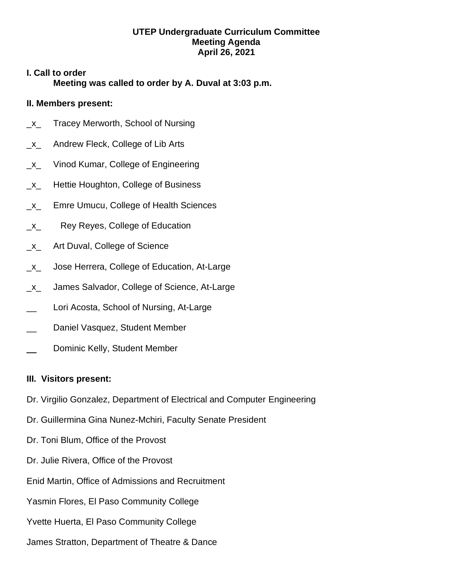## **UTEP Undergraduate Curriculum Committee Meeting Agenda April 26, 2021**

## **I. Call to order Meeting was called to order by A. Duval at 3:03 p.m.**

## **II. Members present:**

- \_x\_ Tracey Merworth, School of Nursing
- \_x\_ Andrew Fleck, College of Lib Arts
- \_x\_ Vinod Kumar, College of Engineering
- \_x\_ Hettie Houghton, College of Business
- \_x\_ Emre Umucu, College of Health Sciences
- \_x\_ Rey Reyes, College of Education
- \_x\_ Art Duval, College of Science
- \_x\_ Jose Herrera, College of Education, At-Large
- \_x\_ James Salvador, College of Science, At-Large
- **Lori Acosta, School of Nursing, At-Large**
- Daniel Vasquez, Student Member
- Dominic Kelly, Student Member

## **III. Visitors present:**

- Dr. Virgilio Gonzalez, Department of Electrical and Computer Engineering
- Dr. Guillermina Gina Nunez-Mchiri, Faculty Senate President
- Dr. Toni Blum, Office of the Provost
- Dr. Julie Rivera, Office of the Provost
- Enid Martin, Office of Admissions and Recruitment
- Yasmin Flores, El Paso Community College
- Yvette Huerta, El Paso Community College
- James Stratton, Department of Theatre & Dance